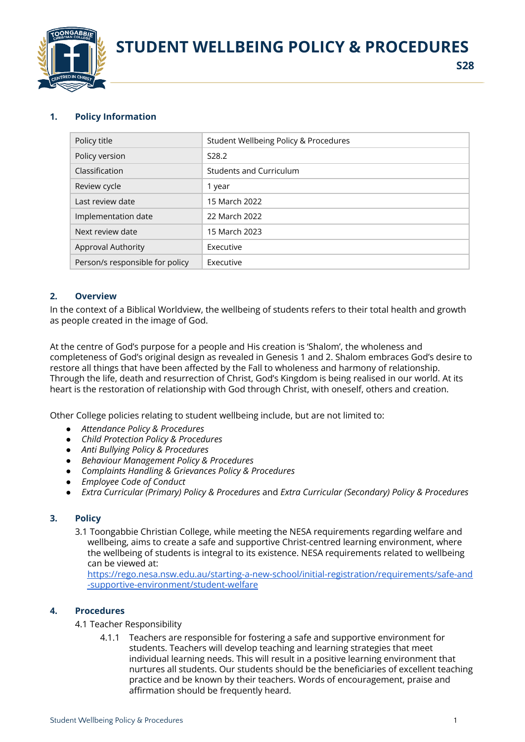

# **STUDENT WELLBEING POLICY & PROCEDURES**

# **1. Policy Information**

| Policy title                    | Student Wellbeing Policy & Procedures |
|---------------------------------|---------------------------------------|
| Policy version                  | S <sub>28.2</sub>                     |
| Classification                  | <b>Students and Curriculum</b>        |
| Review cycle                    | 1 year                                |
| Last review date                | 15 March 2022                         |
| Implementation date             | 22 March 2022                         |
| Next review date                | 15 March 2023                         |
| <b>Approval Authority</b>       | Executive                             |
| Person/s responsible for policy | Executive                             |

# **2. Overview**

In the context of a Biblical Worldview, the wellbeing of students refers to their total health and growth as people created in the image of God.

At the centre of God's purpose for a people and His creation is 'Shalom', the wholeness and completeness of God's original design as revealed in Genesis 1 and 2. Shalom embraces God's desire to restore all things that have been affected by the Fall to wholeness and harmony of relationship. Through the life, death and resurrection of Christ, God's Kingdom is being realised in our world. At its heart is the restoration of relationship with God through Christ, with oneself, others and creation.

Other College policies relating to student wellbeing include, but are not limited to:

- *● Attendance Policy & Procedures*
- *● Child Protection Policy & Procedures*
- *● Anti Bullying Policy & Procedures*
- *● Behaviour Management Policy & Procedures*
- *● Complaints Handling & Grievances Policy & Procedures*
- *● Employee Code of Conduct*
- *● Extra Curricular (Primary) Policy & Procedures* and *Extra Curricular (Secondary) Policy & Procedures*

# **3. Policy**

3.1 Toongabbie Christian College, while meeting the NESA requirements regarding welfare and wellbeing, aims to create a safe and supportive Christ-centred learning environment, where the wellbeing of students is integral to its existence. NESA requirements related to wellbeing can be viewed at:

[https://rego.nesa.nsw.edu.au/starting-a-new-school/initial-registration/requirements/safe-and](https://rego.nesa.nsw.edu.au/starting-a-new-school/initial-registration/requirements/safe-and-supportive-environment/student-welfare) [-supportive-environment/student-welfare](https://rego.nesa.nsw.edu.au/starting-a-new-school/initial-registration/requirements/safe-and-supportive-environment/student-welfare)

# **4. Procedures**

# 4.1 Teacher Responsibility

4.1.1 Teachers are responsible for fostering a safe and supportive environment for students. Teachers will develop teaching and learning strategies that meet individual learning needs. This will result in a positive learning environment that nurtures all students. Our students should be the beneficiaries of excellent teaching practice and be known by their teachers. Words of encouragement, praise and affirmation should be frequently heard.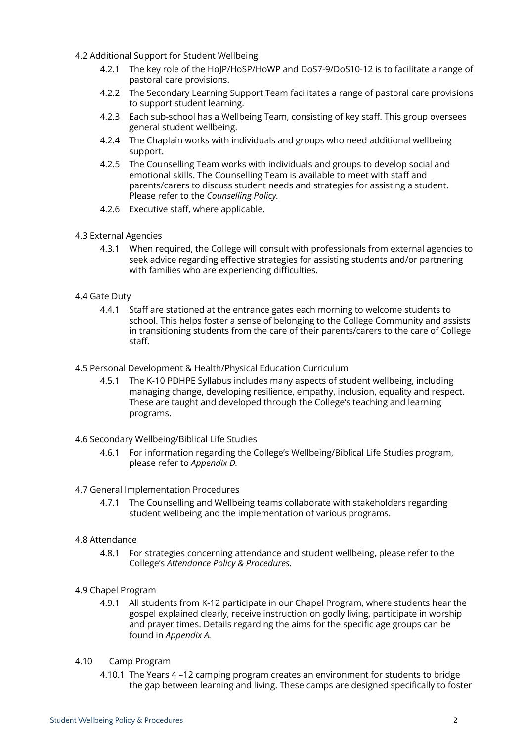- 4.2 Additional Support for Student Wellbeing
	- 4.2.1 The key role of the HoJP/HoSP/HoWP and DoS7-9/DoS10-12 is to facilitate a range of pastoral care provisions.
	- 4.2.2 The Secondary Learning Support Team facilitates a range of pastoral care provisions to support student learning.
	- 4.2.3 Each sub-school has a Wellbeing Team, consisting of key staff. This group oversees general student wellbeing.
	- 4.2.4 The Chaplain works with individuals and groups who need additional wellbeing support.
	- 4.2.5 The Counselling Team works with individuals and groups to develop social and emotional skills. The Counselling Team is available to meet with staff and parents/carers to discuss student needs and strategies for assisting a student. Please refer to the *Counselling Policy.*
	- 4.2.6 Executive staff, where applicable.
- 4.3 External Agencies
	- 4.3.1 When required, the College will consult with professionals from external agencies to seek advice regarding effective strategies for assisting students and/or partnering with families who are experiencing difficulties.

# 4.4 Gate Duty

- 4.4.1 Staff are stationed at the entrance gates each morning to welcome students to school. This helps foster a sense of belonging to the College Community and assists in transitioning students from the care of their parents/carers to the care of College staff.
- 4.5 Personal Development & Health/Physical Education Curriculum
	- 4.5.1 The K-10 PDHPE Syllabus includes many aspects of student wellbeing, including managing change, developing resilience, empathy, inclusion, equality and respect. These are taught and developed through the College's teaching and learning programs.
- 4.6 Secondary Wellbeing/Biblical Life Studies
	- 4.6.1 For information regarding the College's Wellbeing/Biblical Life Studies program, please refer to *Appendix D.*
- 4.7 General Implementation Procedures
	- 4.7.1 The Counselling and Wellbeing teams collaborate with stakeholders regarding student wellbeing and the implementation of various programs.
- 4.8 Attendance
	- 4.8.1 For strategies concerning attendance and student wellbeing, please refer to the College's *Attendance Policy & Procedures.*
- 4.9 Chapel Program
	- 4.9.1 All students from K-12 participate in our Chapel Program, where students hear the gospel explained clearly, receive instruction on godly living, participate in worship and prayer times. Details regarding the aims for the specific age groups can be found in *Appendix A.*
- 4.10 Camp Program
	- 4.10.1 The Years 4 –12 camping program creates an environment for students to bridge the gap between learning and living. These camps are designed specifically to foster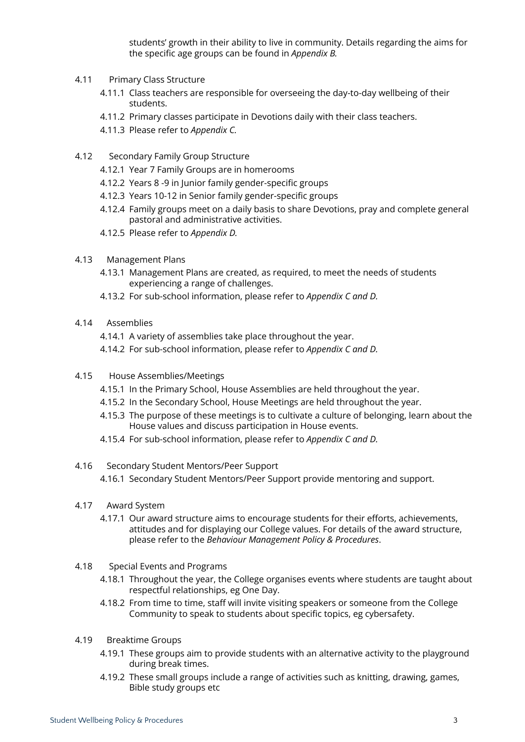students' growth in their ability to live in community. Details regarding the aims for the specific age groups can be found in *Appendix B.*

- 4.11 Primary Class Structure
	- 4.11.1 Class teachers are responsible for overseeing the day-to-day wellbeing of their students.
	- 4.11.2 Primary classes participate in Devotions daily with their class teachers.
	- 4.11.3 Please refer to *Appendix C.*
- 4.12 Secondary Family Group Structure
	- 4.12.1 Year 7 Family Groups are in homerooms
	- 4.12.2 Years 8 -9 in Junior family gender-specific groups
	- 4.12.3 Years 10-12 in Senior family gender-specific groups
	- 4.12.4 Family groups meet on a daily basis to share Devotions, pray and complete general pastoral and administrative activities.
	- 4.12.5 Please refer to *Appendix D.*
- 4.13 Management Plans
	- 4.13.1 Management Plans are created, as required, to meet the needs of students experiencing a range of challenges.
	- 4.13.2 For sub-school information, please refer to *Appendix C and D.*
- 4.14 Assemblies
	- 4.14.1 A variety of assemblies take place throughout the year.
	- 4.14.2 For sub-school information, please refer to *Appendix C and D.*
- 4.15 House Assemblies/Meetings
	- 4.15.1 In the Primary School, House Assemblies are held throughout the year.
	- 4.15.2 In the Secondary School, House Meetings are held throughout the year.
	- 4.15.3 The purpose of these meetings is to cultivate a culture of belonging, learn about the House values and discuss participation in House events.
	- 4.15.4 For sub-school information, please refer to *Appendix C and D.*
- 4.16 Secondary Student Mentors/Peer Support
	- 4.16.1 Secondary Student Mentors/Peer Support provide mentoring and support.
- 4.17 Award System
	- 4.17.1 Our award structure aims to encourage students for their efforts, achievements, attitudes and for displaying our College values. For details of the award structure, please refer to the *Behaviour Management Policy & Procedures*.
- 4.18 Special Events and Programs
	- 4.18.1 Throughout the year, the College organises events where students are taught about respectful relationships, eg One Day.
	- 4.18.2 From time to time, staff will invite visiting speakers or someone from the College Community to speak to students about specific topics, eg cybersafety.
- 4.19 Breaktime Groups
	- 4.19.1 These groups aim to provide students with an alternative activity to the playground during break times.
	- 4.19.2 These small groups include a range of activities such as knitting, drawing, games, Bible study groups etc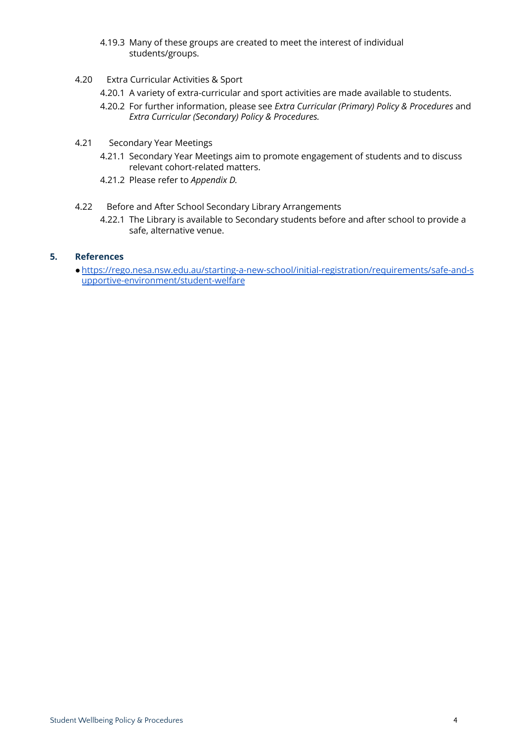- 4.19.3 Many of these groups are created to meet the interest of individual students/groups.
- 4.20 Extra Curricular Activities & Sport
	- 4.20.1 A variety of extra-curricular and sport activities are made available to students.
	- 4.20.2 For further information, please see *Extra Curricular (Primary) Policy & Procedures* and *Extra Curricular (Secondary) Policy & Procedures.*
- 4.21 Secondary Year Meetings
	- 4.21.1 Secondary Year Meetings aim to promote engagement of students and to discuss relevant cohort-related matters.
	- 4.21.2 Please refer to *Appendix D.*
- 4.22 Before and After School Secondary Library Arrangements
	- 4.22.1 The Library is available to Secondary students before and after school to provide a safe, alternative venue.

# **5. References**

●[https://rego.nesa.nsw.edu.au/starting-a-new-school/initial-registration/requirements/safe-and-s](https://rego.nesa.nsw.edu.au/starting-a-new-school/initial-registration/requirements/safe-and-supportive-environment/student-welfare) [upportive-environment/student-welfare](https://rego.nesa.nsw.edu.au/starting-a-new-school/initial-registration/requirements/safe-and-supportive-environment/student-welfare)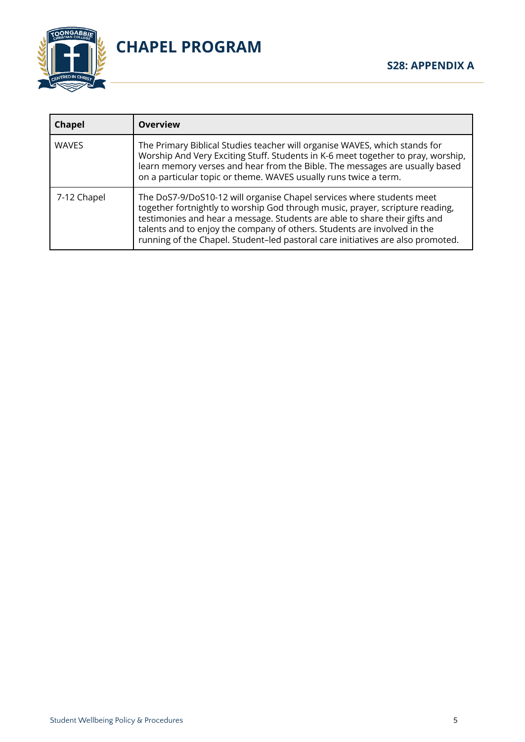

**CHAPEL PROGRAM**

| <b>Chapel</b> | <b>Overview</b>                                                                                                                                                                                                                                                                                                                                                                                     |  |
|---------------|-----------------------------------------------------------------------------------------------------------------------------------------------------------------------------------------------------------------------------------------------------------------------------------------------------------------------------------------------------------------------------------------------------|--|
| <b>WAVES</b>  | The Primary Biblical Studies teacher will organise WAVES, which stands for<br>Worship And Very Exciting Stuff. Students in K-6 meet together to pray, worship,<br>learn memory verses and hear from the Bible. The messages are usually based<br>on a particular topic or theme. WAVES usually runs twice a term.                                                                                   |  |
| 7-12 Chapel   | The DoS7-9/DoS10-12 will organise Chapel services where students meet<br>together fortnightly to worship God through music, prayer, scripture reading,<br>testimonies and hear a message. Students are able to share their gifts and<br>talents and to enjoy the company of others. Students are involved in the<br>running of the Chapel. Student-led pastoral care initiatives are also promoted. |  |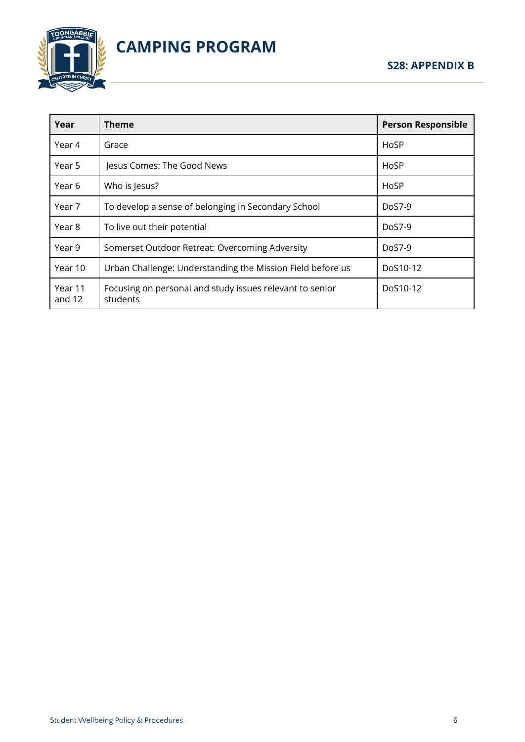

**CAMPING PROGRAM**

| Year              | <b>Theme</b>                                                         | <b>Person Responsible</b> |
|-------------------|----------------------------------------------------------------------|---------------------------|
| Year 4            | Grace                                                                | HoSP                      |
| Year 5            | Jesus Comes: The Good News                                           | HoSP                      |
| Year 6            | Who is Jesus?                                                        | HoSP                      |
| Year 7            | To develop a sense of belonging in Secondary School                  | DoS7-9                    |
| Year 8            | To live out their potential                                          | $DoS7-9$                  |
| Year 9            | Somerset Outdoor Retreat: Overcoming Adversity                       | $DoS7-9$                  |
| Year 10           | Urban Challenge: Understanding the Mission Field before us           | DoS10-12                  |
| Year 11<br>and 12 | Focusing on personal and study issues relevant to senior<br>students | DoS10-12                  |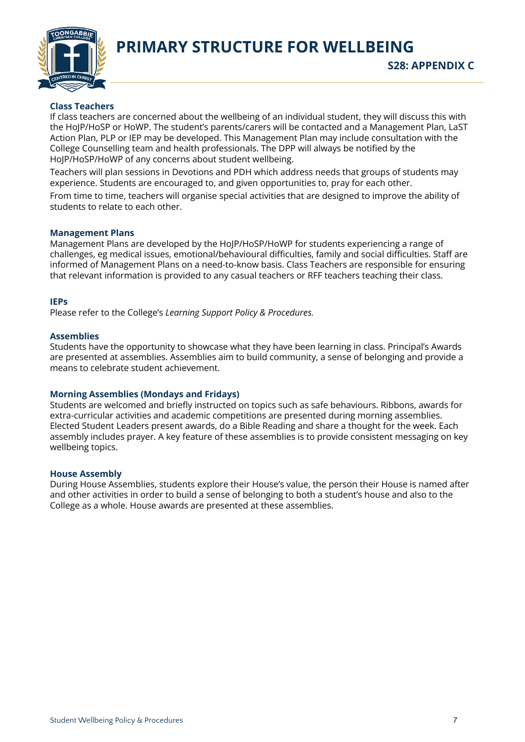

**PRIMARY STRUCTURE FOR WELLBEING**

# **Class Teachers**

If class teachers are concerned about the wellbeing of an individual student, they will discuss this with the HoJP/HoSP or HoWP. The student's parents/carers will be contacted and a Management Plan, LaST Action Plan, PLP or IEP may be developed. This Management Plan may include consultation with the College Counselling team and health professionals. The DPP will always be notified by the HoJP/HoSP/HoWP of any concerns about student wellbeing.

Teachers will plan sessions in Devotions and PDH which address needs that groups of students may experience. Students are encouraged to, and given opportunities to, pray for each other.

From time to time, teachers will organise special activities that are designed to improve the ability of students to relate to each other.

#### **Management Plans**

Management Plans are developed by the HoJP/HoSP/HoWP for students experiencing a range of challenges, eg medical issues, emotional/behavioural difficulties, family and social difficulties. Staff are informed of Management Plans on a need-to-know basis. Class Teachers are responsible for ensuring that relevant information is provided to any casual teachers or RFF teachers teaching their class.

# **IEPs**

Please refer to the College's *Learning Support Policy & Procedures.*

#### **Assemblies**

Students have the opportunity to showcase what they have been learning in class. Principal's Awards are presented at assemblies. Assemblies aim to build community, a sense of belonging and provide a means to celebrate student achievement.

# **Morning Assemblies (Mondays and Fridays)**

Students are welcomed and briefly instructed on topics such as safe behaviours. Ribbons, awards for extra-curricular activities and academic competitions are presented during morning assemblies. Elected Student Leaders present awards, do a Bible Reading and share a thought for the week. Each assembly includes prayer. A key feature of these assemblies is to provide consistent messaging on key wellbeing topics.

#### **House Assembly**

During House Assemblies, students explore their House's value, the person their House is named after and other activities in order to build a sense of belonging to both a student's house and also to the College as a whole. House awards are presented at these assemblies.